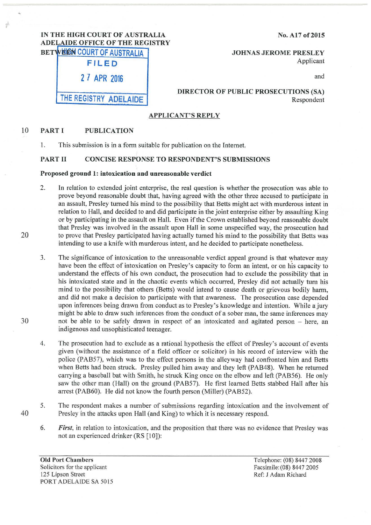# IN THE HIGH COURT OF AUSTRALIA ADELAIDE OFFICE OF THE REGISTRY

No. Al7 of2015

BETWEEN COURT OF AUSTRALIA JOHNAS JEROME PRESLEY FILED Applicant

and

|  | 27 APR 2016 |  |
|--|-------------|--|

THE REGISTRY ADELAIDE

# DIRECTOR OF PUBLIC PROSECUTIONS (SA) Respondent

# APPLICANT'S REPLY

#### 10 PART I PUBLICATION

1. This submission is in a form suitable for publication on the Internet.

# PART 11 CONCISE RESPONSE TO RESPONDENT'S SUBMISSIONS

#### Proposed ground 1: intoxication and unreasonable verdict

- 2. In relation to extended joint enterprise, the real question is whether the prosecution was able to prove beyond reasonable doubt that, having agreed with the other three accused to participate in an assault, Presley turned his mind to the possibility that Betts might act with murderous intent in relation to Hall, and decided to and did participate in the joint enterprise either by assaulting King or by participating in the assault on Hall. Even if the Crown established beyond reasonable doubt that Presley was involved in the assault upon Hall in some unspecified way, the prosecution had to prove that Presley participated having actually turned his mind to the possibility that Betts was intending to use a knife with murderous intent, and he decided to participate nonetheless.
- 3. The significance of intoxication to the unreasonable verdict appeal ground is that whatever may have been the effect of intoxication on Presley's capacity to form an intent, or on his capacity to understand the effects of his own conduct, the prosecution had to exclude the possibility that in his intoxicated state and in the chaotic events which occurred, Presley did not actually turn his mind to the possibility that others (Betts) would intend to cause death or grievous bodily harm, and did not make a decision to participate with that awareness. The prosecution case depended upon inferences being drawn from conduct as to Presley's knowledge and intention. While a jury might be able to draw such inferences from the conduct of a sober man, the same inferences may not be able to be safely drawn in respect of an intoxicated and agitated person - here, an indigenous and unsophisticated teenager.
- 4. The prosecution had to exclude as a rational hypothesis the effect of Presley's account of events given (without the assistance of a field officer or solicitor) in his record of interview with the police (PAB57), which was to the effect persons in the alleyway had confronted him and Betts when Betts had been struck. Presley pulled him away and they left (PAB48). When he returned carrying a baseball bat with Smith, he struck King once on the elbow and left (PAB56). He only saw the other man (Hall) on the ground (PAB57). He first learned Betts stabbed Hall after his arrest (PAB60). He did not know the fourth person (Miller) (PAB52).
- 5. The respondent makes a number of submissions regarding intoxication and the involvement of Presley in the attacks upon Hall (and King) to which it is necessary respond.
	- 6. *First,* in relation to intoxication, and the proposition that there was no evidence that Presley was not an experienced drinker (RS [10]):

Old Port Chambers Solicitors for the applicant 125 Lipson Street PORT ADELAIDE SA 5015 Telephone: (08) 8447 2008 Facsimile: (08) 8447 2005 Ref: J Adam Richard

30

40

20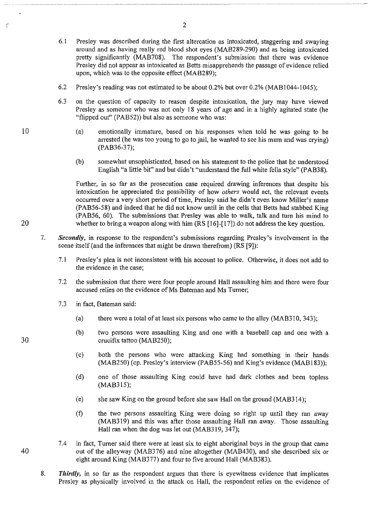- 6. I Presley was described during the first altercation as intoxicated, staggering and swaying around and as having really red blood shot eyes (MAB289-290) and as being intoxicated pretty significantly (MAB708). The respondent's submission that there was evidence Presley did not appear as intoxicated as Betts misapprehends the passage of evidence relied upon, which was to the opposite effect (MAB289);
- 6.2 Presley's reading was not estimated to be about 0.2% but over 0.2% (MABI044-1045);
- 6.3 on the question of capacity to reason despite intoxication, the jury may have viewed Presley as someone who was not only 18 years of age and in a highly agitated state (he "flipped out" (PAB52)) but also as someone who was:
	- (a) emotionally immature, based on his responses when told he was going to be arrested (he was too young to go to jail, he wanted to see his mum and was crying) (PAB36-37);
	- (b) somewhat unsophisticated, based on his statement to the police that he understood English "a little bit" and but didn't "understand the full white fella style" (PAB38).

Further, in so far as the prosecution case required drawing inferences that despite his intoxication he appreciated the possibility of how *others* would act, the relevant events occurred over a very short period oftime, Presley said he didn't even know Miller's name (PAB56-58) and indeed that he did not know until in the cells that Betts had stabbed King (PAB56, 60). The submissions that Presley was able to walk, talk and turn his mind to whether to bring a weapon along with him (RS [16]-[17]) do not address the key question.

- 7. *Secondly,* in response to the respondent's submissions regarding Presley's involvement in the scene itself (and the inferences that might be drawn therefrom) (RS [9]):
	- 7.1 Presley's plea is not inconsistent with his account to police. Otherwise, it does not add to the evidence in the case;
	- 7.2 the submission that there were four people around Hall assaulting him and there were four accused relies on the evidence of Ms Bateman and Ms Turner;
	- 7.3 in fact, Bateman said:
		- (a) there were a total of at least six persons who came to the alley  $(MAB310, 343)$ ;
		- (b) two persons were assaulting King and one with a baseball cap and one with a crucifix tattoo (MAB250);
		- (c) both the persons who were attacking King had something in their hands (MAB250) (cp. Presley's interview (PAB55-56) and King's evidence (MAB183));
		- (d) one of those assaulting King could have had dark clothes and been topless (MAB315);
		- (e) she saw King on the ground before she saw Hall on the ground (MAB314 );
		- (f) the two persons assaulting King were doing so right up until they ran away (MAB3!9) and this was after those assaulting Hall ran away. Those assaulting Hall ran when the dog was let out (MAB319, 347);
- 7.4 in fact, Turner said there were at least six to eight aboriginal boys in the group that came 40 out of the alleyway (MAB376) and nine altogether (MAB430), and she described six or eight around King (MAB377) and four to five around Hall (MAB383).
	- 8. *Thirdly,* in so far as the respondent argues that there is eyewitness evidence that implicates Presley as physically involved in the attack on Hall, the respondent relies on the evidence of

10

Î.

20

30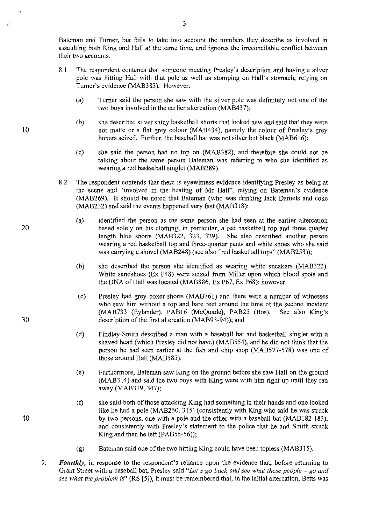Bateman and Turner, but fails to take into account the numbers they describe as involved in assaulting both King and Hall at the same time, and ignores the irreconcilable conflict between their two accounts.

- 8.1 The respondent contends that someone meeting Presley's description and having a silver pole was hitting Hall with that pole as well as stomping on Hall's stomach, relying on Turner's evidence (MAB383). However:
	- (a) Turner said the person she saw with the silver pole was definitely not one of the two boys involved in the earlier altercation (MAB437);
	- (b) she described silver shiny basketball shorts that looked new and said that they were not matte or a flat grey colour (MAB434), namely the colour of Presley's grey boxers seized. Further, the baseball bat was not silver but black (MAB616);
	- (c) she said the person had no top on (MAB382), and therefore she could not be talking about the same person Bateman was referring to who she identified as wearing a red basketball singlet (MAB289).
- 8.2 The respondent contends that there is eyewitness evidence identifying Presley as being at the scene and "involved in the beating of Mr Hall", relying on Bateman's evidence (MAB269). It should be noted that Bateman (who was drinking Jack Daniels and coke (MAB232) and said the events happened very fast (MAB318):
	- (a) identified the person as the same person she had seen at the earlier altercation based solely on his clothing, in particular, a red basketball top and three quarter length blue shorts (MAB322, 323, 329). She also described another person wearing a red basketball top and three-quarter pants and white shoes who she said was carrying a shovel (MAB248) (see also "red basketball tops" (MAB253));
	- (b) she described the person she identified as wearing white sneakers (MAB322). White sandshoes (Ex P48) were seized from Miller upon which blood spots and the DNA of Hall was located (MAB886, Ex P67, Ex P68); however
	- (c) Presley had grey boxer shorts (MAB761) and there were a number of witnesses who saw him without a top and bare feet around the time of the second incident (MAB733 (Eylander), PAB16 (McQuade), PAB25 (Bos). See also King's description of the first altercation (MAB93-94)); and
	- (d) Findlay-Smith described a man with a baseball bat and basketball singlet with a shaved head (which Presley did not have) (MAB554), and he did not think that the person he had seen earlier at the fish and chip shop (MAB577-578) was one of those around Hall (MAB585).
	- (e) Furthermore, Bateman saw King on the ground before she saw Hall on the ground (MAB314) and said the two boys with King were with him right up until they ran away (MAB319, 347);
	- (f) she said both of those attacking King had something in their hands and one looked like he had a pole (MAB250, 315) (consistently with King who said he was struck by two persons, one with a pole and the other with a baseball bat (MAB 182-183), and consistently with Presley's statement to the police that he and Smith struck King and then he left (PAB55-56));
	- (g) Bateman said one of the two hitting King could have been topless (MAB3!5).
- 9. *Fourthly,* in response to the respondent's reliance upon the evidence that, before returning to Grant Street with a baseball bat, Presley said *"Let's go back and see what these people- go and see what the problem* is" (RS [5]), it must be remembered that, in the initial altercation, Betts was

20

10

30

40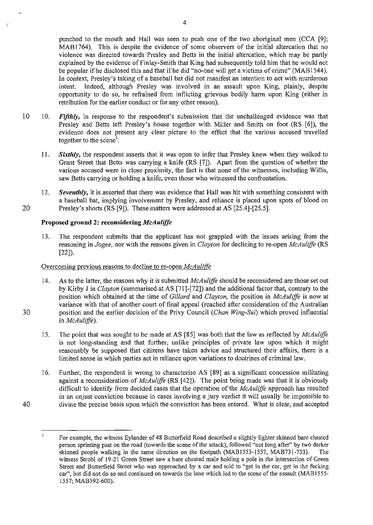punched to the mouth and Hall was seen to push one of the two aboriginal men (CCA [9]; MAB1764). This is despite the evidence of some observers of the initial altercation that no violence was directed towards Presley and Betts in the initial altercation, which may be partly explained by the evidence of Finlay-Smith that King had subsequently told him that he would not be popular if he disclosed this and that if he did "no-one will get a victims of crime" (MAB 1544 ). In context, Presley's taking of a baseball bat did not manifest an intention to act with murderous intent. Indeed, although Presley was involved in an assault upon King, plainly, despite opportunity to do so, he refrained from inflicting grievous bodily harm upon King (either in retribution for the earlier conduct or for any other reason).

- 10 10. *Fifthly,* in response to the respondent's submission that the unchallenged evidence was that Presley and Betts left Presley's house together with Miller and Smith on foot (RS [6]), the evidence does not present any clear picture to the effect that the various accused travelled together to the scene<sup>1</sup>.
	- 11. *Sixthly,* the respondent asserts that it was open to infer that Presley knew when they walked to Grant Street that Betts was carrying a knife (RS [7]). Apart from the question of whether the various accused were in close proximity, the fact is that none of the witnesses, including Willis, saw Betts carrying or holding a knife, even those who witnessed the confrontation.
- 12. *Seventhly,* it is asserted that there was evidence that Hall was hit with something consistent with a baseball bat, implying involvement by Presley, and reliance is placed upon spots of blood on 20 Presley's shorts (RS [9]). These matters were addressed at AS [25.4]-[25.5].

### **Proposed ground 2: reconsidering** *McAuliffe*

13. The respondent submits that the applicant has not grappled with the issues arising from the reasoning in *Jogee,* nor with the reasons given in *Clayton* for declining to re-open *McAuliffe* (RS [22]).

# Overcoming previous reasons to decline to re-open *McAulif(e*

- 14. As to the latter, the reasons why it is submitted *McAuliffo* should be reconsidered are those set out by Kirby J in *Clayton* (summarised at AS [71]-[72]) and the additional factor that, contrary to the position which obtained at the time of *Gillard* and *Clayton,* the position in *McAuliffo* is now at variance with that of another court of final appeal (reached after consideration of the Australian 30 position and the earlier decision of the Privy Council *(Chan Wing-Sui)* which proved influential in *McAuliffe).* 
	- 15. The point that was sought to be made at AS [85] was both that the law as reflected by *McAuliffe*  is not long-standing and that further, unlike principles of private law upon which it might reasonably be supposed that citizens have taken advice and structured their affairs, there is a limited sense in which parties act in reliance upon variations to doctrines of criminal law.
- 16. Further, the respondent is wrong to characterise AS [89] as a significant concession militating against a reconsideration of *McAuliffe* (RS [42]). The point being made was that it is obviously difficult to identify from decided cases that the operation of the *McAuliffe* approach has resulted in an unjust conviction because in cases involving a jury verdict it will usually be impossible to 40 divine the precise basis upon which the conviction has been entered. What is clear, and accepted

Ė

 $\mathbf{1}$ For example, the witness Eylander of 48 Butterfield Road described a slightly lighter skinned bare chested person sprinting past on the road (towards the scene of the attack), followed "not long after" by two darker skinned people walking in the same direction on the footpath (MAB1553-1557, MAB731-733). The witness Strobl of 19-21 Green Street saw a bare chested male holding a pole in the intersection of Green Street and Butterfield Street who was approached by a car and told to "get in the car, get in the fucking car", but did not do so and continued on towards the lane which led to the scene of the assault (MAB1555- 1557; MAB592-600).